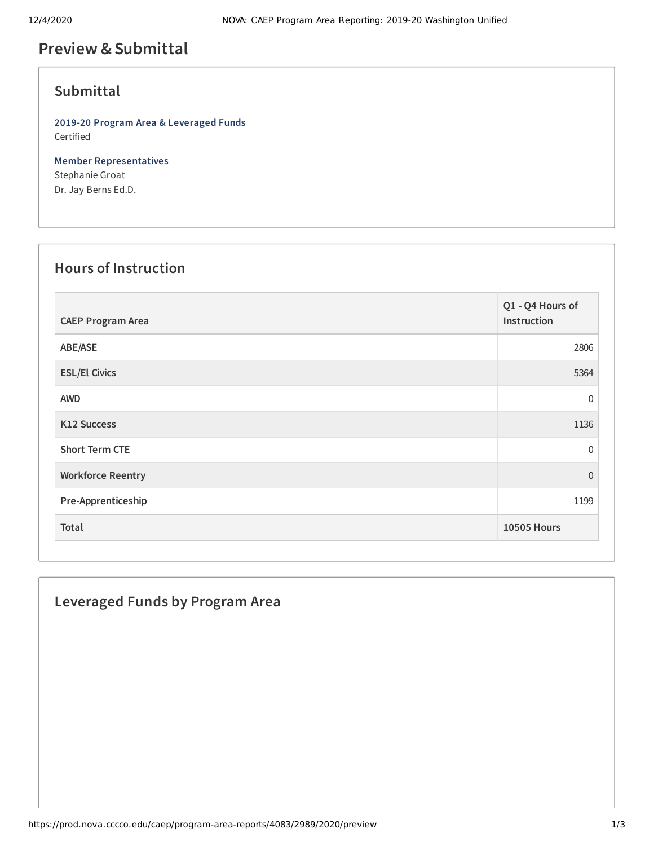## **Preview &Submittal**

## **Submittal**

**2019-20 Program Area & Leveraged Funds** Certified

**Member Representatives** Stephanie Groat Dr. Jay Berns Ed.D.

### **Hours of Instruction**

| <b>CAEP Program Area</b> | Q1 - Q4 Hours of<br>Instruction |
|--------------------------|---------------------------------|
| ABE/ASE                  | 2806                            |
| <b>ESL/El Civics</b>     | 5364                            |
| <b>AWD</b>               | 0                               |
| <b>K12 Success</b>       | 1136                            |
| <b>Short Term CTE</b>    | 0                               |
| <b>Workforce Reentry</b> | $\overline{0}$                  |
| Pre-Apprenticeship       | 1199                            |
| Total                    | <b>10505 Hours</b>              |

# **Leveraged Funds by Program Area**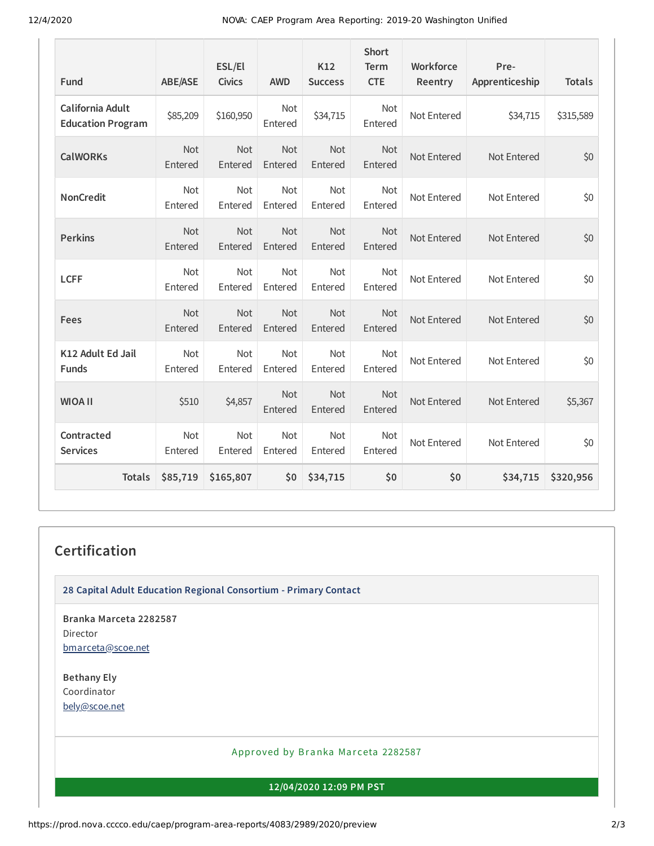| Fund                                         | <b>ABE/ASE</b>        | ESL/El<br><b>Civics</b> | <b>AWD</b>            | K12<br><b>Success</b> | <b>Short</b><br><b>Term</b><br><b>CTE</b> | Workforce<br>Reentry | Pre-<br>Apprenticeship | <b>Totals</b> |
|----------------------------------------------|-----------------------|-------------------------|-----------------------|-----------------------|-------------------------------------------|----------------------|------------------------|---------------|
| California Adult<br><b>Education Program</b> | \$85,209              | \$160,950               | <b>Not</b><br>Entered | \$34,715              | Not<br>Entered                            | Not Entered          | \$34,715               | \$315,589     |
| <b>CalWORKs</b>                              | Not<br>Entered        | Not<br>Entered          | Not<br>Entered        | Not<br>Entered        | Not<br>Entered                            | Not Entered          | Not Entered            | \$0           |
| <b>NonCredit</b>                             | <b>Not</b><br>Entered | <b>Not</b><br>Entered   | <b>Not</b><br>Entered | <b>Not</b><br>Entered | <b>Not</b><br>Entered                     | Not Entered          | Not Entered            | \$0           |
| <b>Perkins</b>                               | <b>Not</b><br>Entered | Not<br>Entered          | Not<br>Entered        | Not<br>Entered        | <b>Not</b><br>Entered                     | Not Entered          | Not Entered            | \$0           |
| <b>LCFF</b>                                  | <b>Not</b><br>Entered | <b>Not</b><br>Entered   | Not<br>Entered        | Not<br>Entered        | Not<br>Entered                            | Not Entered          | Not Entered            | \$0           |
| <b>Fees</b>                                  | Not<br>Entered        | <b>Not</b><br>Entered   | Not<br>Entered        | <b>Not</b><br>Entered | Not<br>Entered                            | Not Entered          | Not Entered            | \$0           |
| K12 Adult Ed Jail<br><b>Funds</b>            | Not<br>Entered        | <b>Not</b><br>Entered   | Not<br>Entered        | Not<br>Entered        | Not<br>Entered                            | Not Entered          | Not Entered            | \$0           |
| <b>WIOA II</b>                               | \$510                 | \$4,857                 | Not<br>Entered        | <b>Not</b><br>Entered | Not<br>Entered                            | Not Entered          | Not Entered            | \$5,367       |
| Contracted<br><b>Services</b>                | Not<br>Entered        | <b>Not</b><br>Entered   | <b>Not</b><br>Entered | <b>Not</b><br>Entered | Not<br>Entered                            | Not Entered          | Not Entered            | \$0           |
| <b>Totals</b>                                | \$85,719              | \$165,807               | \$0                   | \$34,715              | \$0                                       | \$0                  | \$34,715               | \$320,956     |

## **Certification**

**28 Capital Adult Education Regional Consortium - Primary Contact**

**Branka Marceta 2282587** Director [bmarceta@scoe.net](mailto:bmarceta@scoe.net)

**Bethany Ely** Coordinator [bely@scoe.net](mailto:bely@scoe.net)

#### Approved by Branka Marceta 2282587

**12/04/2020 12:09 PM PST**